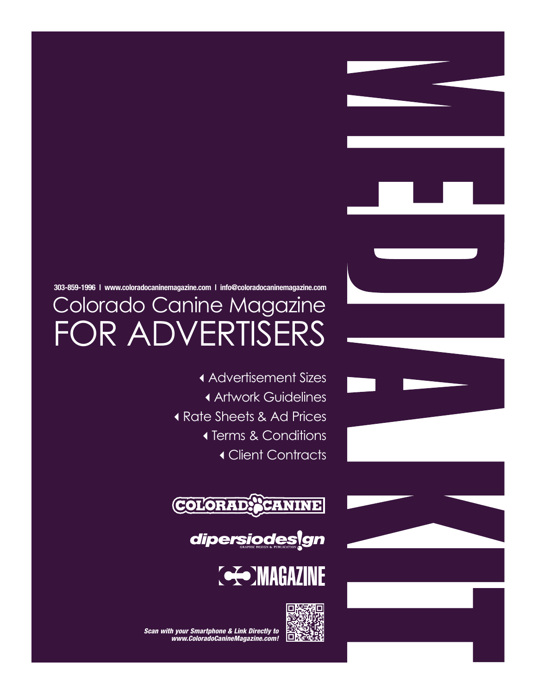### **303-859-1996 | www.coloradocaninemagazine.com | info@coloradocaninemagazine.com**

# Colorado Canine Magazine FOR ADVERTISERS

Advertisement Sizes Artwork Guidelines Rate Sheets & Ad Prices Terms & Conditions Client Contracts









*Scan with your Smartphone & Link Directly to www.ColoradoCanineMagazine.com!*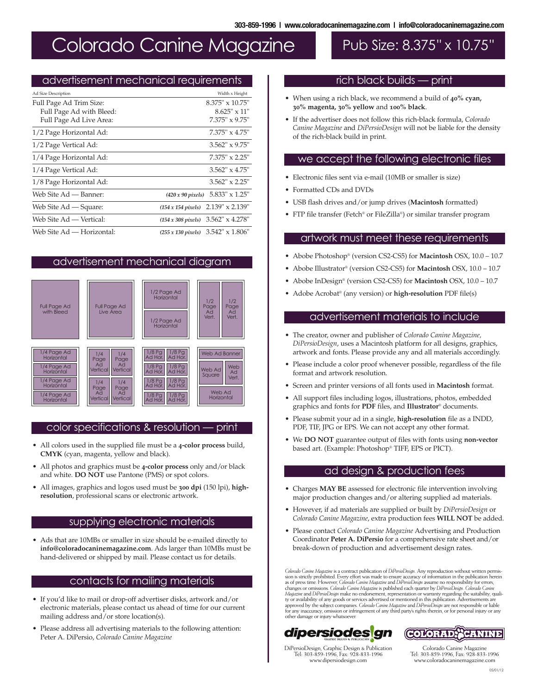## Colorado Canine Magazine Pub Size: 8.375" x 10.75"

#### advertisement mechanical requirements

| Ad Size Description       | Width x Height                               |
|---------------------------|----------------------------------------------|
| Full Page Ad Trim Size:   | $8.375" \times 10.75"$                       |
| Full Page Ad with Bleed:  | $8.625" \times 11"$                          |
| Full Page Ad Live Area:   | $7.375" \times 9.75"$                        |
| 1/2 Page Horizontal Ad:   | $7.375" \times 4.75"$                        |
| 1/2 Page Vertical Ad:     | $3.562" \times 9.75"$                        |
| 1/4 Page Horizontal Ad:   | $7.375" \times 2.25"$                        |
| 1/4 Page Vertical Ad:     | $3.562" \times 4.75"$                        |
| 1/8 Page Horizontal Ad:   | $3.562" \times 2.25"$                        |
| Web Site Ad — Banner:     | $(420 x 90 pixels)$ 5.833" x 1.25"           |
| Web Site Ad — Square:     | $2.139" \times 2.139"$<br>(154 x 154 pixels) |
| Web Site Ad — Vertical:   | (154 x 308 pixels) 3.562" x 4.278"           |
| Web Site Ad — Horizontal: | (255 x 130 pixels) 3.542" x 1.806"           |

#### advertisement mechanical diagram



#### color specifications & resolution — print

- All colors used in the supplied file must be a **4-color process** build, **CMYK** (cyan, magenta, yellow and black).
- All photos and graphics must be **4-color process** only and/or black and white. **DO NOT** use Pantone (PMS) or spot colors.
- All images, graphics and logos used must be **300 dpi** (150 lpi), **highresolution**, professional scans or electronic artwork.

#### supplying electronic materials

• Ads that are 10MBs or smaller in size should be e-mailed directly to **info@coloradocaninemagazine.com**. Ads larger than 10MBs must be hand-delivered or shipped by mail. Please contact us for details.

#### contacts for mailing materials

- If you'd like to mail or drop-off advertiser disks, artwork and/or electronic materials, please contact us ahead of time for our current mailing address and/or store location(s).
- Please address all advertising materials to the following attention: Peter A. DiPersio, *Colorado Canine Magazine*

### rich black builds — print

- When using a rich black, we recommend a build of **40% cyan, 30% magenta, 30% yellow** and **100% black**.
- If the advertiser does not follow this rich-black formula, *Colorado Canine Magazine* and *DiPersioDesign* will not be liable for the density of the rich-black build in print.

#### we accept the following electronic files

- Electronic files sent via e-mail (10MB or smaller is size)
- Formatted CDs and DVDs
- USB flash drives and/or jump drives (**Macintosh** formatted)
- FTP file transfer (Fetch® or FileZilla®) or similar transfer program

#### artwork must meet these requirements

- Abobe Photoshop® (version CS2-CS5) for **Macintosh** OSX, 10.0 10.7
- Abobe Illustrator® (version CS2-CS5) for **Macintosh** OSX, 10.0 10.7
- Abobe InDesign® (version CS2-CS5) for **Macintosh** OSX, 10.0 10.7
- Adobe Acrobat ® (any version) or **high-resolution** PDF file(s)

#### advertisement materials to include

- The creator, owner and publisher of *Colorado Canine Magazine, DiPersioDesign*, uses a Macintosh platform for all designs, graphics, artwork and fonts. Please provide any and all materials accordingly.
- Please include a color proof whenever possible, regardless of the file format and artwork resolution.
- Screen and printer versions of all fonts used in **Macintosh** format.
- All support files including logos, illustrations, photos, embedded graphics and fonts for **PDF** files, and **Illustrator**® documents.
- Please submit your ad in a single, **high-resolution** file as a INDD, PDF, TIF, JPG or EPS. We can not accept any other format.
- We **DO NOT** guarantee output of files with fonts using **non-vector** based art. (Example: Photoshop® TIFF, EPS or PICT).

#### ad design & production fees

- Charges **MAY BE** assessed for electronic file intervention involving major production changes and/or altering supplied ad materials.
- However, if ad materials are supplied or built by *DiPersioDesign* or *Colorado Canine Magazine*, extra production fees **WILL NOT** be added.
- Please contact *Colorado Canine Magazine* Advertising and Production Coordinator **Peter A. DiPersio** for a comprehensive rate sheet and/or break-down of production and advertisement design rates.

Colorado Canine Magazine is a contract publication of DiPersioDesign. Any reproduction without written permis-<br>sion is strictly prohibited. Every effort was made to ensure accuracy of information in the publication herein as of press time. However, Colorado Canine Magazine and DiPersioDesign assume no responsibility for errors,<br>changes or omissions. Colorado Canine Magazine is published each quarter by DiPersioDesign. Colorado Canine *Magazine* and *DiPersioDesign* make no endorsement, representation or warranty regarding the suitability, quality or availability of any goods or services advertised or mentioned in this publication. Advertisements are approved by the subject companies. Colorado Canine Magazine and DiPersioDesign are not responsible or liable<br>for any inaccuracy, omission or infringement of any third party's rights therein, or for personal injury or any<br>o





Tel: 303-859-1996, Fax: 928-833-1996

DiPersioDesign, Graphic Design & Publication Tel: 303-859-1996, Fax: 928-833-1996 www.dipersiodesign.com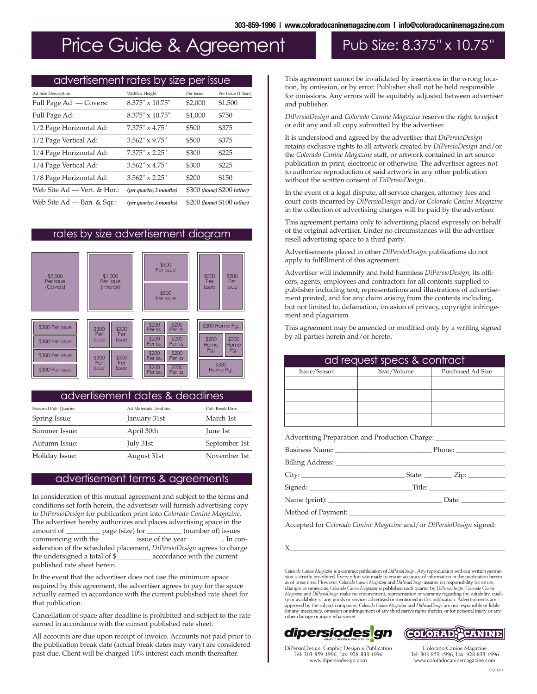## Price Guide & Agreement Pub Size: 8.375" x 10.75"

### advertisement rates by size per issue Full Page Ad — Covers: 8.375" x 10.75" \$2,000 \$1,500 Full Page Ad: 8.375" x 10.75" \$1,000 \$750 1/2 Page Horizontal Ad: 7.375" x 4.75" \$500 \$375 1/2 Page Vertical Ad: 3.562" x 9.75" \$500 \$375 1/4 Page Horizontal Ad: 7.375" x 2.25" \$300 \$225 1/4 Page Vertical Ad: 3.562" x 4.75" \$300 \$225 1/8 Page Horizontal Ad: 3.562" x 2.25" \$200 \$150 Web Site Ad — Vert. & Hor.: *(per quarter, 3 months)* \$300 *(home)* \$200 *(other)* Web Site Ad — Ban. & Sqr.: *(per quarter, 3 months)* \$200 *(home)* \$100 *(other)* Ad Size Description **Ad Size Description** Width x Height Per Issue Per Issue (1 Year)

#### rates by size advertisement diagram



#### advertisement dates & deadlines

| Seasonal Pub. Quarter | Ad Materials Deadline | Pub. Break Date |
|-----------------------|-----------------------|-----------------|
| Spring Issue:         | January 31st          | March 1st       |
| Summer Issue:         | April 30th            | June 1st        |
| Autumn Issue:         | July 31st             | September 1st   |
| Holiday Issue:        | August 31st           | November 1st    |

#### advertisement terms & agreements

In consideration of this mutual agreement and subject to the terms and conditions set forth herein, the advertiser will furnish advertising copy to *DiPersioDesign* for publication print into *Colorado Canine Magazine*. The advertiser hereby authorizes and places advertising space in the amount of \_\_\_\_\_\_\_\_\_\_\_\_ page (size) for \_\_\_\_\_\_\_\_\_\_ (number of) issues amount of <u>equal</u> page (size) for <u>equal (number of</u>) issues commencing with the state of the year state of the year state of the year state of the year state of the year state of the year state of the year state of the ye commencing with the issue of the year issue issue issue  $\alpha$ . In consideration of the scheduled placement, *DiPersioDesign* agrees to charge the undersigned a total of \$\_\_\_\_\_\_\_\_\_\_ accordance with the current published rate sheet herein.

In the event that the advertiser does not use the minimum space required by this agreement, the advertiser agrees to pay for the space actually earned in accordance with the current published rate sheet for that publication.

Cancellation of space after deadline is prohibited and subject to the rate earned in accordance with the current published rate sheet.

All accounts are due upon receipt of invoice. Accounts not paid prior to the publication break date (actual break dates may vary) are considered past due. Client will be charged 10% interest each month thereafter.

This agreement cannot be invalidated by insertions in the wrong location, by omission, or by error. Publisher shall not be held responsible for omissions. Any errors will be equitably adjusted between advertiser and publisher.

*DiPersioDesign* and *Colorado Canine Magazine* reserve the right to reject or edit any and all copy submitted by the advertiser.

It is understood and agreed by the advertiser that *DiPersioDesign* retains exclusive rights to all artwork created by *DiPersioDesign* and/or the *Colorado Canine Magazine* staff, or artwork contained in art source publication in print, electronic or otherwise. The advertiser agrees not to authorize reproduction of said artwork in any other publication without the written consent of *DiPersioDesign*.

In the event of a legal dispute, all service charges, attorney fees and court costs incurred by *DiPersioDesign* and/or *Colorado Canine Magazine* in the collection of advertising charges will be paid by the advertiser.

This agreement pertains only to advertising placed expressly on behalf of the original advertiser. Under no circumstances will the advertiser resell advertising space to a third party.

Advertisements placed in other *DiPersioDesign* publications do not apply to fulfillment of this agreement.

Advertiser will indemnify and hold harmless *DiPersioDesign*, its officers, agents, employees and contractors for all contents supplied to publisher including text, representations and illustrations of advertisement printed, and for any claim arising from the contents including, but not limited to, defamation, invasion of privacy, copyright infringement and plagiarism.

This agreement may be amended or modified only by a writing signed by all parties herein and/or hereto.

|              | ad request specs & contract                                                       |                   |
|--------------|-----------------------------------------------------------------------------------|-------------------|
| Issue/Season | Year/Volume<br>and the property                                                   | Purchased Ad Size |
|              |                                                                                   |                   |
|              |                                                                                   |                   |
|              |                                                                                   |                   |
|              |                                                                                   |                   |
|              | Advertising Preparation and Production Charge: __________________________________ |                   |
|              |                                                                                   |                   |
|              |                                                                                   |                   |
|              |                                                                                   |                   |
|              |                                                                                   |                   |
|              | Method of Payment:                                                                |                   |

Accepted for *Colorado Canine Magazine* and/or *DiPersioDesign* signed:

X\_\_\_\_\_\_\_\_\_\_\_\_\_\_\_\_\_\_\_\_\_\_\_\_\_\_\_\_\_\_\_\_\_\_\_\_\_\_\_\_\_\_\_\_\_\_\_\_\_\_\_\_\_\_\_\_\_\_\_\_\_\_\_

Colorado Canine Magazine is a contract publication of DiPersioDesign. Any reproduction without written permis-<br>sion is strictly prohibited. Every effort was made to ensure accuracy of information in the publication herein as of press time. However, Colorado Canine Magazine and DiPersioDesign assume no responsibility for errors,<br>changes or omissions. Colorado Canine Magazine is published each quarter by DiPersioDesign. Colorado Canine *Magazine* and *DiPersioDesign* make no endorsement, representation or warranty regarding the suitability, quality or availability of any goods or services advertised or mentioned in this publication. Advertisements are approved by the subject companies. Colorado Canine Magazine and DiPersioDesign are not responsible or liable for any inaccuracy, omission or infringement of any third party's rights therein, or for personal injury or any o





DiPersioDesign, Graphic Design & Publication Tel: 303-859-1996, Fax: 928-833-1996 www.dipersiodesign.com

Colorado Canine Magazine Tel: 303-859-1996, Fax: 928-833-1996 www.coloradocaninemagazine.com